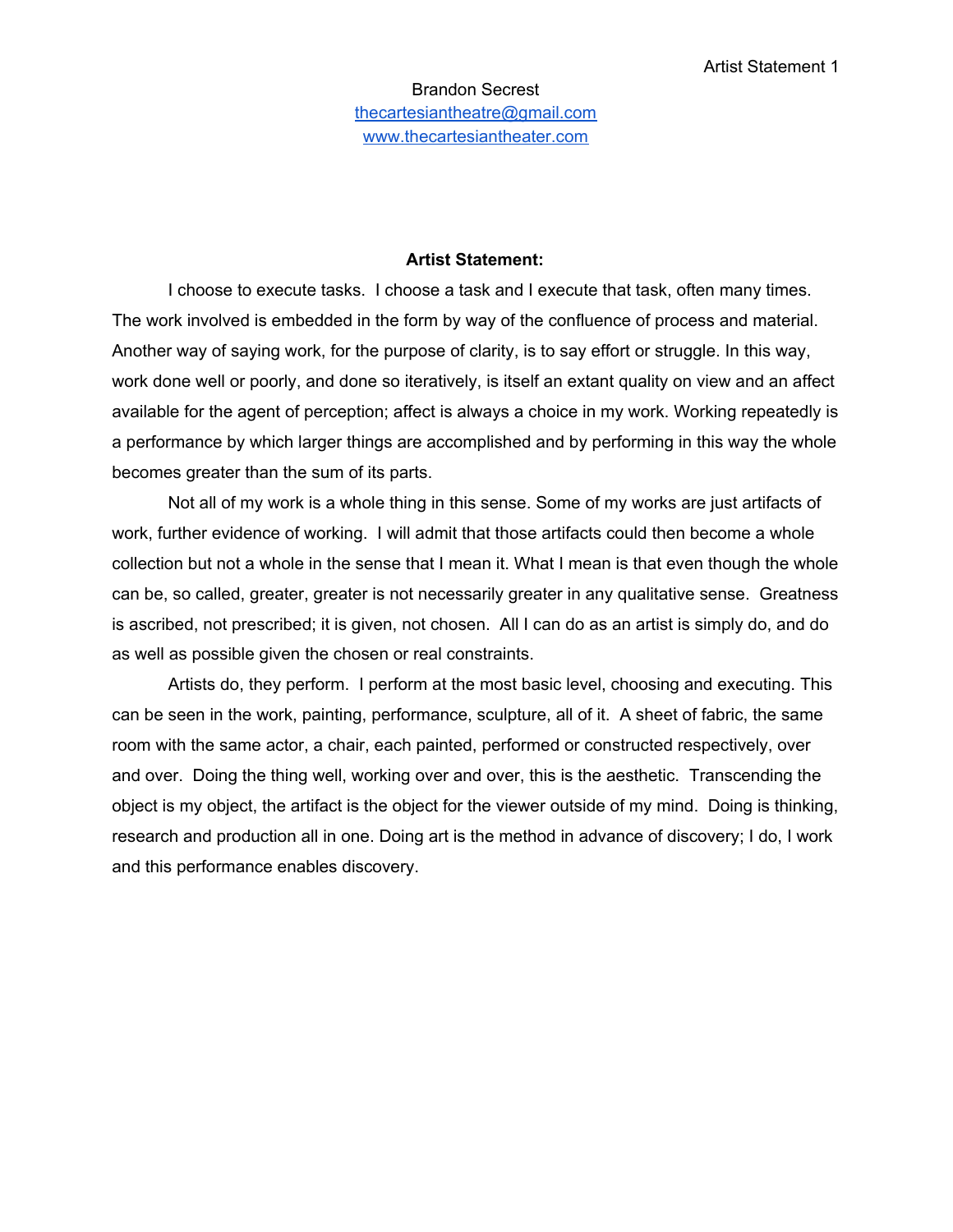## **Artist Statement:**

I choose to execute tasks. I choose a task and I execute that task, often many times. The work involved is embedded in the form by way of the confluence of process and material. Another way of saying work, for the purpose of clarity, is to say effort or struggle. In this way, work done well or poorly, and done so iteratively, is itself an extant quality on view and an affect available for the agent of perception; affect is always a choice in my work. Working repeatedly is a performance by which larger things are accomplished and by performing in this way the whole becomes greater than the sum of its parts.

Not all of my work is a whole thing in this sense. Some of my works are just artifacts of work, further evidence of working. I will admit that those artifacts could then become a whole collection but not a whole in the sense that I mean it. What I mean is that even though the whole can be, so called, greater, greater is not necessarily greater in any qualitative sense. Greatness is ascribed, not prescribed; it is given, not chosen. All I can do as an artist is simply do, and do as well as possible given the chosen or real constraints.

Artists do, they perform. I perform at the most basic level, choosing and executing. This can be seen in the work, painting, performance, sculpture, all of it. A sheet of fabric, the same room with the same actor, a chair, each painted, performed or constructed respectively, over and over. Doing the thing well, working over and over, this is the aesthetic. Transcending the object is my object, the artifact is the object for the viewer outside of my mind. Doing is thinking, research and production all in one. Doing art is the method in advance of discovery; I do, I work and this performance enables discovery.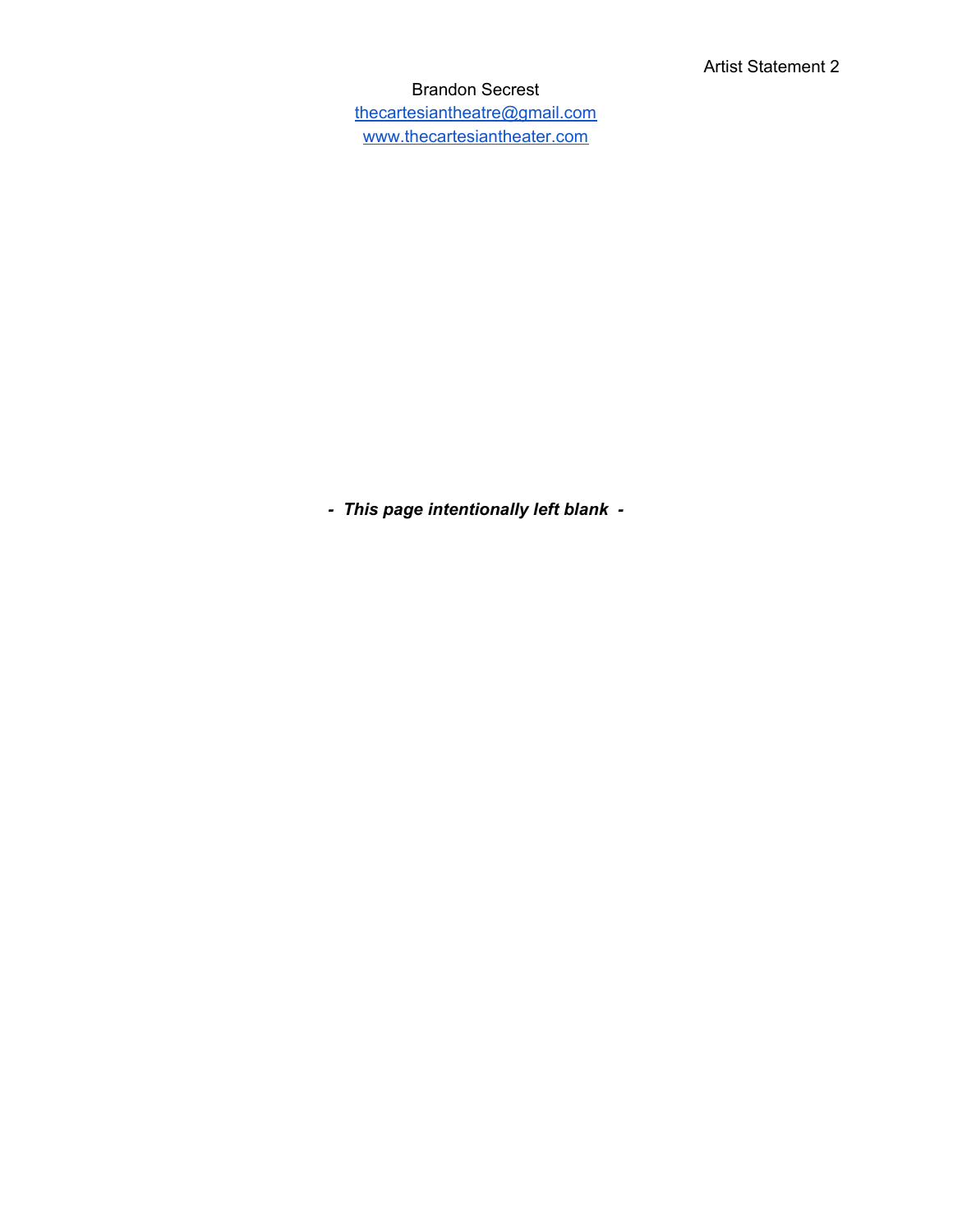Brandon Secrest [thecartesiantheatre@gmail.com](mailto:thecartesiantheatre@gmail.com) [www.thecartesiantheater.com](http://www.thecartesiantheater.com/)

*- This page intentionally left blank -*